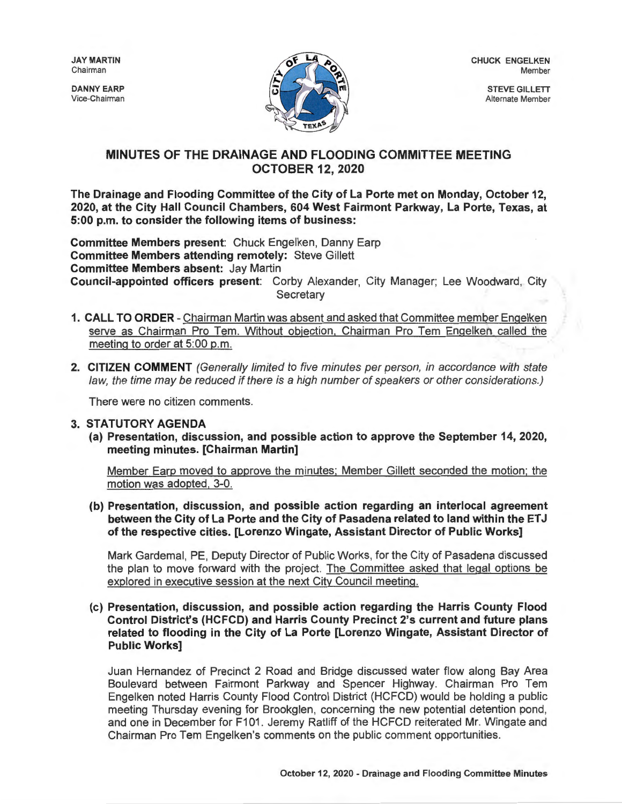JAY MARTIN Chairman

DANNY EARP Vice-Chairman



CHUCK ENGELKEN Member

> STEVE GILLETT Alternate Member

## **MINUTES OF THE DRAINAGE AND FLOODING COMMITTEE MEETING OCTOBER 12, 2020**

**The Drainage and Flooding Committee of the City of La Porte met on Monday, October 12, 2020, at the City Hall Council Chambers, 604 West Fairmont Parkway, La Porte, Texas, at 5:00 p.m. to consider the following items of business:** 

**Committee Members present:** Chuck Engelken, Danny Earp **Committee Members attending remotely:** Steve Gillett **Committee Members absent:** Jay Martin **Council-appointed officers present:** Corby Alexander, City Manager; Lee Woodward, City **Secretary** 

- **1. CALL TO ORDER**  Chairman Martin was absent and asked that Committee member Engelken serve as Chairman Pro Tem. Without objection, Chairman Pro Tem Engelken called the meeting to order at 5:00 p.m.
- **2. CITIZEN COMMENT** (Generally limited to five minutes per person, in accordance with state law, the time may be reduced if there is a high number of speakers or other considerations.)

There were no citizen comments.

## **3. STATUTORY AGENDA**

**(a) Presentation, discussion, and possible action to approve the September 14, 2020, meeting minutes. [Chairman Martin]** 

Member Earp moved to approve the minutes; Member Gillett seconded the motion; the motion was adopted, 3-0.

**(b) Presentation, discussion, and possible action regarding an interlocal agreement between the City of La Porte and the City of Pasadena related to land within the ET J of the respective cities. [Lorenzo Wingate, Assistant Director of Public Works]** 

Mark Gardemal, PE, Deputy Director of Public Works, for the City of Pasadena discussed the plan to move forward with the project. The Committee asked that legal options be explored in executive session at the next City Council meeting.

**(c) Presentation, discussion, and possible action regarding the Harris County Flood Control District's (HCFCD) and Harris County Precinct 2's current and future plans related to flooding in the City of La Porte [Lorenzo Wingate, Assistant Director of Public Works]** 

Juan Hernandez of Precinct 2 Road and Bridge discussed water flow along Bay Area Boulevard between Fairmont Parkway and Spencer Highway. Chairman Pro Tern Engelken noted Harris County Flood Control District (HCFCD) would be holding a public meeting Thursday evening for Brookglen, concerning the new potential detention pond, and one in December for F101 . Jeremy Ratliff of the HCFCD reiterated Mr. Wingate and Chairman Pro Tern Engelken's comments on the public comment opportunities.